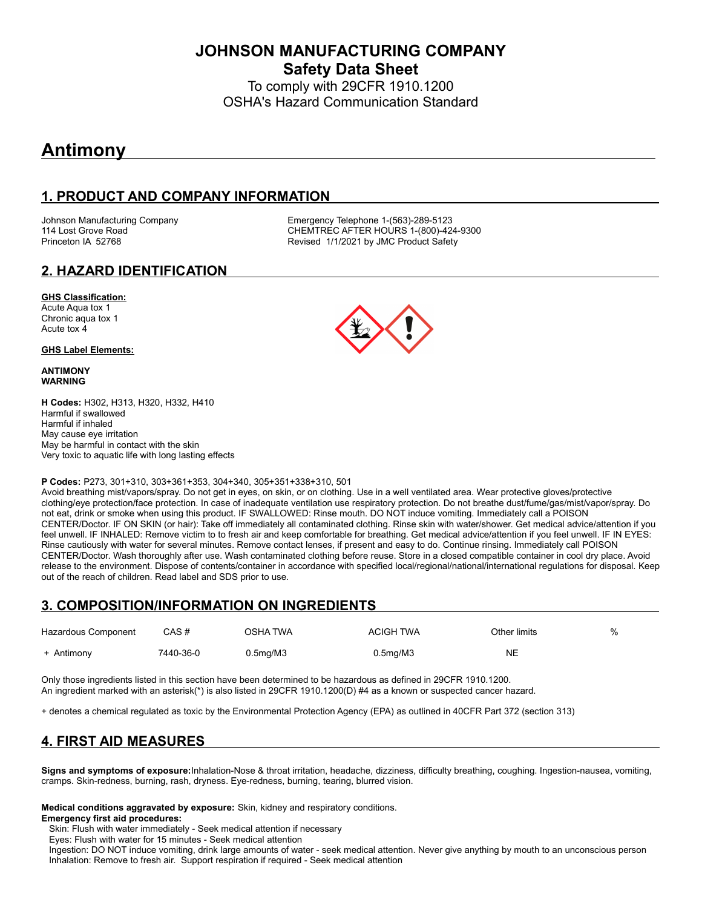**JOHNSON MANUFACTURING COMPANY Safety Data Sheet**

To comply with 29CFR 1910.1200 OSHA's Hazard Communication Standard

# **Antimony**

# **1. PRODUCT AND COMPANY INFORMATION**

Johnson Manufacturing Company **Emergency Telephone 1-(563)-289-5123**<br>114 Lost Grove Road **COMPAN COMPANE CONTREC AFTER HOURS** 1-(800)-42 CHEMTREC AFTER HOURS 1-(800)-424-9300 Princeton IA 52768 **Revised 1/1/2021 by JMC Product Safety** 

### **2. HAZARD IDENTIFICATION**

#### **GHS Classification:**

Acute Aqua tox 1 Chronic aqua tox 1 Acute tox 4

#### **GHS Label Elements:**

#### **ANTIMONY WARNING**

**H Codes:** H302, H313, H320, H332, H410 Harmful if swallowed Harmful if inhaled May cause eye irritation May be harmful in contact with the skin Very toxic to aquatic life with long lasting effects

#### **P Codes:** P273, 301+310, 303+361+353, 304+340, 305+351+338+310, 501

Avoid breathing mist/vapors/spray. Do not get in eyes, on skin, or on clothing. Use in a well ventilated area. Wear protective gloves/protective clothing/eye protection/face protection. In case of inadequate ventilation use respiratory protection. Do not breathe dust/fume/gas/mist/vapor/spray. Do not eat, drink or smoke when using this product. IF SWALLOWED: Rinse mouth. DO NOT induce vomiting. Immediately call a POISON CENTER/Doctor. IF ON SKIN (or hair): Take off immediately all contaminated clothing. Rinse skin with water/shower. Get medical advice/attention if you feel unwell. IF INHALED: Remove victim to to fresh air and keep comfortable for breathing. Get medical advice/attention if you feel unwell. IF IN EYES: Rinse cautiously with water for several minutes. Remove contact lenses, if present and easy to do. Continue rinsing. Immediately call POISON CENTER/Doctor. Wash thoroughly after use. Wash contaminated clothing before reuse. Store in a closed compatible container in cool dry place. Avoid release to the environment. Dispose of contents/container in accordance with specified local/regional/national/international regulations for disposal. Keep out of the reach of children. Read label and SDS prior to use.

### **3. COMPOSITION/INFORMATION ON INGREDIENTS**

| Hazardous Component | CAS #     | OSHA TWA | <b>ACIGH TWA</b>      | Other limits | % |
|---------------------|-----------|----------|-----------------------|--------------|---|
| + Antimony          | 7440-36-0 | 0.5mg/M3 | 0.5 <sub>mq</sub> /M3 | <b>NE</b>    |   |

Only those ingredients listed in this section have been determined to be hazardous as defined in 29CFR 1910.1200. An ingredient marked with an asterisk(\*) is also listed in 29CFR 1910.1200(D) #4 as a known or suspected cancer hazard.

+ denotes a chemical regulated as toxic by the Environmental Protection Agency (EPA) as outlined in 40CFR Part 372 (section 313)

# **4. FIRST AID MEASURES**

**Signs and symptoms of exposure:**Inhalation-Nose & throat irritation, headache, dizziness, difficulty breathing, coughing. Ingestion-nausea, vomiting, cramps. Skin-redness, burning, rash, dryness. Eye-redness, burning, tearing, blurred vision.

**Medical conditions aggravated by exposure:** Skin, kidney and respiratory conditions.

**Emergency first aid procedures:**

Skin: Flush with water immediately - Seek medical attention if necessary

Eyes: Flush with water for 15 minutes - Seek medical attention

 Ingestion: DO NOT induce vomiting, drink large amounts of water - seek medical attention. Never give anything by mouth to an unconscious person Inhalation: Remove to fresh air. Support respiration if required - Seek medical attention

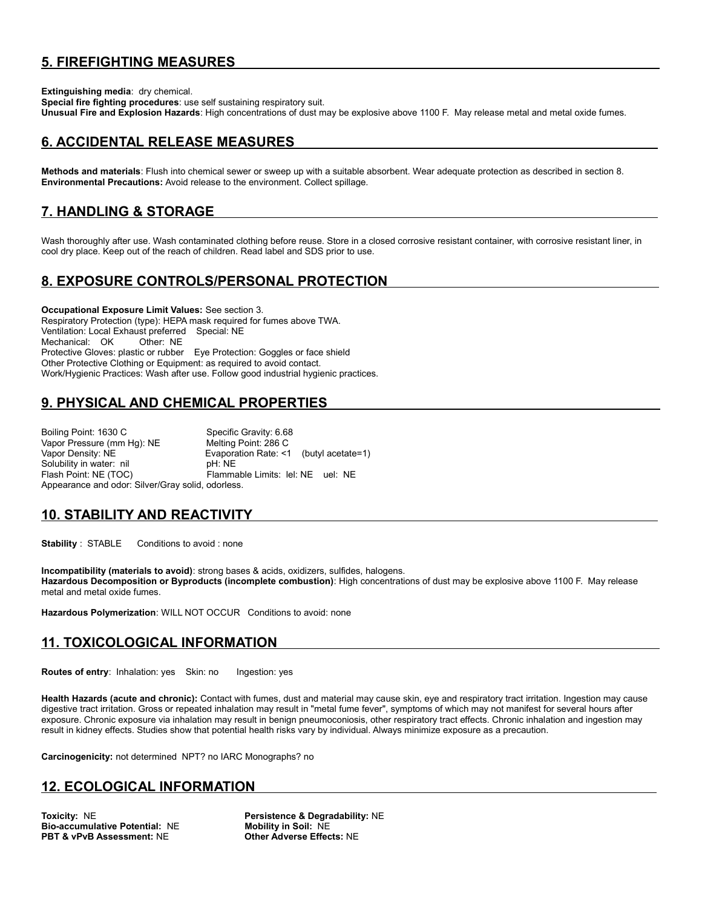# **5. FIREFIGHTING MEASURES**

**Extinguishing media**: dry chemical.

**Special fire fighting procedures**: use self sustaining respiratory suit. **Unusual Fire and Explosion Hazards**: High concentrations of dust may be explosive above 1100 F. May release metal and metal oxide fumes.

### **6. ACCIDENTAL RELEASE MEASURES**

**Methods and materials**: Flush into chemical sewer or sweep up with a suitable absorbent. Wear adequate protection as described in section 8. **Environmental Precautions:** Avoid release to the environment. Collect spillage.

### **7. HANDLING & STORAGE**

Wash thoroughly after use. Wash contaminated clothing before reuse. Store in a closed corrosive resistant container, with corrosive resistant liner, in cool dry place. Keep out of the reach of children. Read label and SDS prior to use.

# **8. EXPOSURE CONTROLS/PERSONAL PROTECTION**

**Occupational Exposure Limit Values:** See section 3. Respiratory Protection (type): HEPA mask required for fumes above TWA. Ventilation: Local Exhaust preferred Special: NE Mechanical: OK Protective Gloves: plastic or rubber Eye Protection: Goggles or face shield Other Protective Clothing or Equipment: as required to avoid contact. Work/Hygienic Practices: Wash after use. Follow good industrial hygienic practices.

# **9. PHYSICAL AND CHEMICAL PROPERTIES**

Boiling Point: 1630 C Specific Gravity: 6.68 Vapor Pressure (mm Hg): NE Melting Point: 286 C Vapor Density: NE <br>
Solubility in water: nil example in the NE Solubility in water: nil by the NE Solubility in water: nil Flash Point: NE (TOC) Flammable Limits: lel: NE uel: NE Appearance and odor: Silver/Gray solid, odorless.

### **10. STABILITY AND REACTIVITY**

**Stability** : STABLE Conditions to avoid : none

**Incompatibility (materials to avoid)**: strong bases & acids, oxidizers, sulfides, halogens. **Hazardous Decomposition or Byproducts (incomplete combustion)**: High concentrations of dust may be explosive above 1100 F. May release metal and metal oxide fumes.

**Hazardous Polymerization**: WILL NOT OCCUR Conditions to avoid: none

### **11. TOXICOLOGICAL INFORMATION**

**Routes of entry:** Inhalation: yes Skin: no Ingestion: yes

**Health Hazards (acute and chronic):** Contact with fumes, dust and material may cause skin, eye and respiratory tract irritation. Ingestion may cause digestive tract irritation. Gross or repeated inhalation may result in "metal fume fever", symptoms of which may not manifest for several hours after exposure. Chronic exposure via inhalation may result in benign pneumoconiosis, other respiratory tract effects. Chronic inhalation and ingestion may result in kidney effects. Studies show that potential health risks vary by individual. Always minimize exposure as a precaution.

**Carcinogenicity:** not determined NPT? no IARC Monographs? no

### **12. ECOLOGICAL INFORMATION**

**Toxicity: NE**<br> **Bio-accumulative Potential: NE Mobility in Soil: NE Bio-accumulative Potential: NE PBT & vPvB Assessment:** NE **Other Adverse Effects:** NE